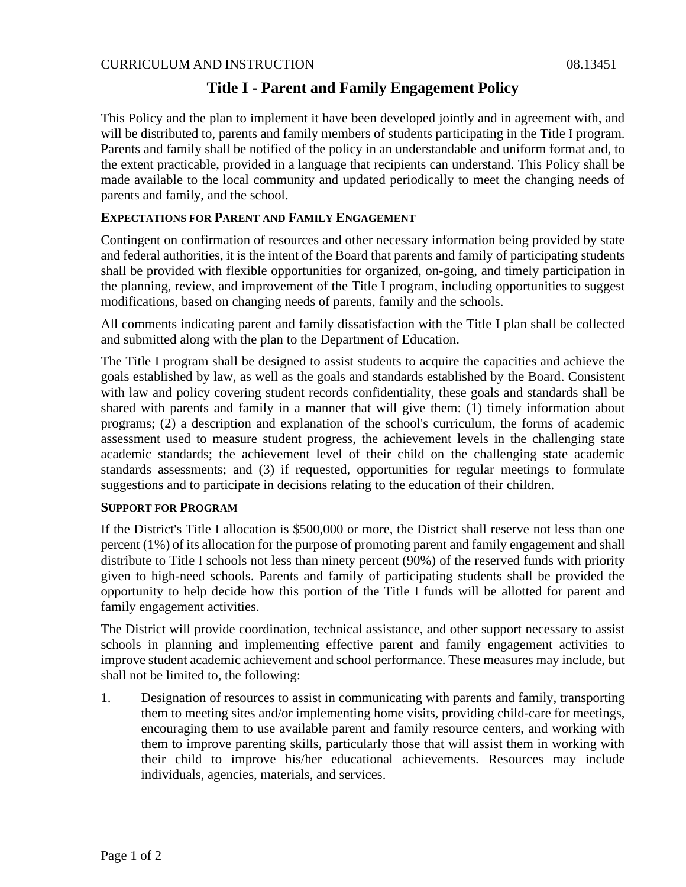# **Title I - Parent and Family Engagement Policy**

This Policy and the plan to implement it have been developed jointly and in agreement with, and will be distributed to, parents and family members of students participating in the Title I program. Parents and family shall be notified of the policy in an understandable and uniform format and, to the extent practicable, provided in a language that recipients can understand. This Policy shall be made available to the local community and updated periodically to meet the changing needs of parents and family, and the school.

# **EXPECTATIONS FOR PARENT AND FAMILY ENGAGEMENT**

Contingent on confirmation of resources and other necessary information being provided by state and federal authorities, it is the intent of the Board that parents and family of participating students shall be provided with flexible opportunities for organized, on-going, and timely participation in the planning, review, and improvement of the Title I program, including opportunities to suggest modifications, based on changing needs of parents, family and the schools.

All comments indicating parent and family dissatisfaction with the Title I plan shall be collected and submitted along with the plan to the Department of Education.

The Title I program shall be designed to assist students to acquire the capacities and achieve the goals established by law, as well as the goals and standards established by the Board. Consistent with law and policy covering student records confidentiality, these goals and standards shall be shared with parents and family in a manner that will give them: (1) timely information about programs; (2) a description and explanation of the school's curriculum, the forms of academic assessment used to measure student progress, the achievement levels in the challenging state academic standards; the achievement level of their child on the challenging state academic standards assessments; and (3) if requested, opportunities for regular meetings to formulate suggestions and to participate in decisions relating to the education of their children.

## **SUPPORT FOR PROGRAM**

If the District's Title I allocation is \$500,000 or more, the District shall reserve not less than one percent (1%) of its allocation for the purpose of promoting parent and family engagement and shall distribute to Title I schools not less than ninety percent (90%) of the reserved funds with priority given to high-need schools. Parents and family of participating students shall be provided the opportunity to help decide how this portion of the Title I funds will be allotted for parent and family engagement activities.

The District will provide coordination, technical assistance, and other support necessary to assist schools in planning and implementing effective parent and family engagement activities to improve student academic achievement and school performance. These measures may include, but shall not be limited to, the following:

1. Designation of resources to assist in communicating with parents and family, transporting them to meeting sites and/or implementing home visits, providing child-care for meetings, encouraging them to use available parent and family resource centers, and working with them to improve parenting skills, particularly those that will assist them in working with their child to improve his/her educational achievements. Resources may include individuals, agencies, materials, and services.